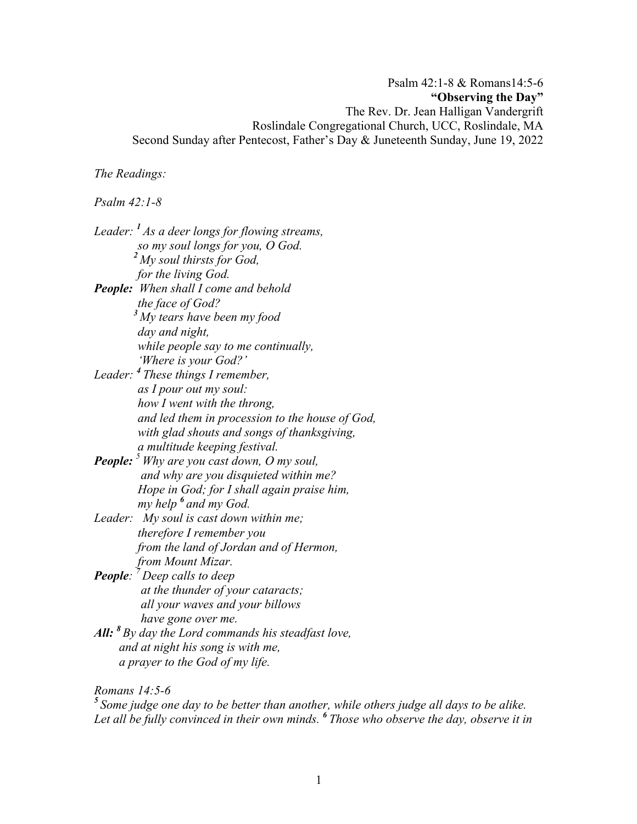Psalm 42:1-8 & Romans14:5-6 **"Observing the Day"** The Rev. Dr. Jean Halligan Vandergrift Roslindale Congregational Church, UCC, Roslindale, MA Second Sunday after Pentecost, Father's Day & Juneteenth Sunday, June 19, 2022

*The Readings:*

*Psalm 42:1-8*

*Leader: <sup>1</sup> As a deer longs for flowing streams, so my soul longs for you, O God.<sup>2</sup> My soul thirsts for God, for the living God. People: When shall I come and behold the face of God?<sup>3</sup> My tears have been my food day and night, while people say to me continually, 'Where is your God?' Leader: <sup>4</sup> These things I remember, as I pour out my soul: how I went with the throng, and led them in procession to the house of God, with glad shouts and songs of thanksgiving, a multitude keeping festival. People: <sup>5</sup> Why are you cast down, O my soul, and why are you disquieted within me? Hope in God; for I shall again praise him, my help <sup>6</sup> and my God. Leader: My soul is cast down within me; therefore I remember you from the land of Jordan and of Hermon, from Mount Mizar. People: <sup>7</sup> Deep calls to deep at the thunder of your cataracts; all your waves and your billows have gone over me. All: <sup>8</sup> By day the Lord commands his steadfast love, and at night his song is with me, a prayer to the God of my life.*

*Romans 14:5-6*

*<sup>5</sup> Some judge one day to be better than another, while others judge all days to be alike. Let all be fully convinced in their own minds. <sup>6</sup> Those who observe the day, observe it in*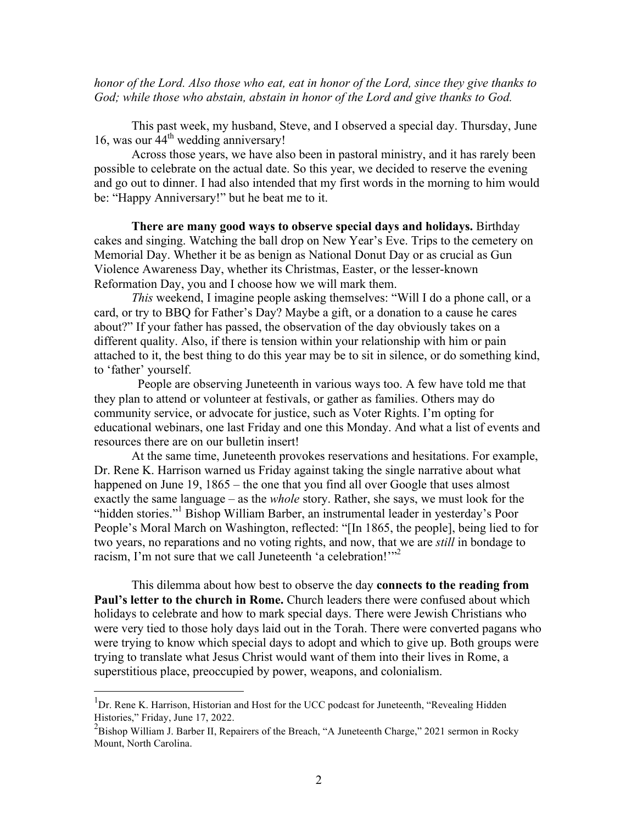*honor of the Lord. Also those who eat, eat in honor of the Lord, since they give thanks to God; while those who abstain, abstain in honor of the Lord and give thanks to God.*

This past week, my husband, Steve, and I observed a special day. Thursday, June 16, was our  $44^{\text{th}}$  wedding anniversary!

Across those years, we have also been in pastoral ministry, and it has rarely been possible to celebrate on the actual date. So this year, we decided to reserve the evening and go out to dinner. I had also intended that my first words in the morning to him would be: "Happy Anniversary!" but he beat me to it.

**There are many good ways to observe special days and holidays.** Birthday cakes and singing. Watching the ball drop on New Year's Eve. Trips to the cemetery on Memorial Day. Whether it be as benign as National Donut Day or as crucial as Gun Violence Awareness Day, whether its Christmas, Easter, or the lesser-known Reformation Day, you and I choose how we will mark them.

*This* weekend, I imagine people asking themselves: "Will I do a phone call, or a card, or try to BBQ for Father's Day? Maybe a gift, or a donation to a cause he cares about?" If your father has passed, the observation of the day obviously takes on a different quality. Also, if there is tension within your relationship with him or pain attached to it, the best thing to do this year may be to sit in silence, or do something kind, to 'father' yourself.

People are observing Juneteenth in various ways too. A few have told me that they plan to attend or volunteer at festivals, or gather as families. Others may do community service, or advocate for justice, such as Voter Rights. I'm opting for educational webinars, one last Friday and one this Monday. And what a list of events and resources there are on our bulletin insert!

At the same time, Juneteenth provokes reservations and hesitations. For example, Dr. Rene K. Harrison warned us Friday against taking the single narrative about what happened on June 19, 1865 – the one that you find all over Google that uses almost exactly the same language – as the *whole* story. Rather, she says, we must look for the "hidden stories."<sup>1</sup> Bishop William Barber, an instrumental leader in yesterday's Poor People's Moral March on Washington, reflected: "[In 1865, the people], being lied to for two years, no reparations and no voting rights, and now, that we are *still* in bondage to racism, I'm not sure that we call Juneteenth 'a celebration!"<sup>2</sup>

This dilemma about how best to observe the day **connects to the reading from Paul's letter to the church in Rome.** Church leaders there were confused about which holidays to celebrate and how to mark special days. There were Jewish Christians who were very tied to those holy days laid out in the Torah. There were converted pagans who were trying to know which special days to adopt and which to give up. Both groups were trying to translate what Jesus Christ would want of them into their lives in Rome, a superstitious place, preoccupied by power, weapons, and colonialism.

<sup>1&</sup>lt;br><sup>1</sup>Dr. Rene K. Harrison, Historian and Host for the UCC podcast for Juneteenth, "Revealing Hidden" Histories," Friday, June 17, 2022.

 $2B$ ishop William J. Barber II, Repairers of the Breach, "A Juneteenth Charge," 2021 sermon in Rocky Mount, North Carolina.